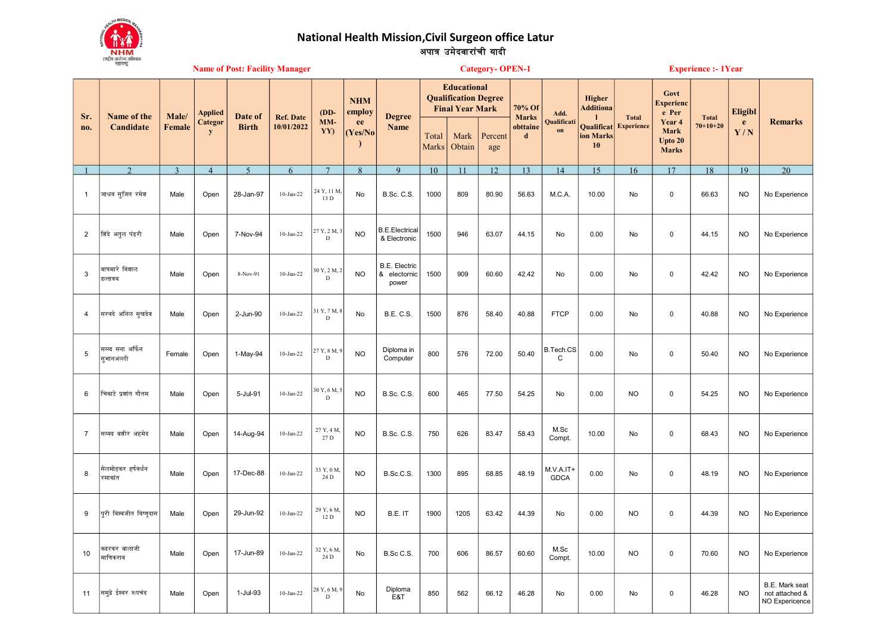

## National Health Mission,Civil Surgeon office Latur<br>अपात्र उमेदवारांची यादी

|                | महाराष्ट्र<br><b>Name of Post: Facility Manager</b> |                |                |                         |                                |                              |                                                        |                                               |                                                                             |                | <b>Category-OPEN-1</b> |                         |                          | <b>Experience :- 1Year</b>    |                   |                                                  |              |                |                                                    |
|----------------|-----------------------------------------------------|----------------|----------------|-------------------------|--------------------------------|------------------------------|--------------------------------------------------------|-----------------------------------------------|-----------------------------------------------------------------------------|----------------|------------------------|-------------------------|--------------------------|-------------------------------|-------------------|--------------------------------------------------|--------------|----------------|----------------------------------------------------|
| Sr.            | Name of the<br>Candidate                            | Male/          | Applied        | Date of<br><b>Birth</b> | <b>Ref. Date</b><br>10/01/2022 | $(DD-$<br>$MM-$<br>YY)       | <b>NHM</b><br>employ<br>ee<br>(Yes/No)<br>$\mathbf{I}$ | <b>Degree</b><br><b>Name</b>                  | <b>Educational</b><br><b>Qualification Degree</b><br><b>Final Year Mark</b> |                |                        | 70% Of<br><b>Marks</b>  | Add.                     | Higher<br><b>Additiona</b>    | <b>Total</b>      | Govt<br><b>Experienc</b><br>e Per                | <b>Total</b> | <b>Eligibl</b> |                                                    |
| no.            |                                                     | <b>Female</b>  | Categor<br>y   |                         |                                |                              |                                                        |                                               | Total<br><b>Marks</b>                                                       | Mark<br>Obtain | Percent<br>age         | obttaine<br>$\mathbf d$ | Qualificat<br>on         | Qualificat<br>ion Marks<br>10 | <b>Experience</b> | Year 4<br><b>Mark</b><br>Upto 20<br><b>Marks</b> | $70+10+20$   | e<br>Y/N       | <b>Remarks</b>                                     |
|                | $\mathcal{D}$                                       | $\overline{3}$ | $\overline{4}$ | $\overline{5}$          | 6                              | $7\phantom{.0}$              | 8                                                      | $\mathbf{Q}$                                  | 10                                                                          | 11             | 12                     | 13                      | 14                       | 15                            | 16                | 17                                               | 18           | 19             | 20                                                 |
| $\overline{1}$ | जाधव सूजित रमेश                                     | Male           | Open           | 28-Jan-97               | $10-Jan-22$                    | 24 Y, 11 M,<br>13 D          | No                                                     | B.Sc. C.S.                                    | 1000                                                                        | 809            | 80.90                  | 56.63                   | M.C.A.                   | 10.00                         | No                | 0                                                | 66.63        | <b>NO</b>      | No Experience                                      |
| $\overline{2}$ | शिंदे अतूल पंढरी                                    | Male           | Open           | 7-Nov-94                | $10-Jan-22$                    | 27 Y, 2 M, 3<br>$\mathbf D$  | <b>NO</b>                                              | <b>B.E.Electrical</b><br>& Electronic         | 1500                                                                        | 946            | 63.07                  | 44.15                   | No                       | 0.00                          | No                | 0                                                | 44.15        | <b>NO</b>      | No Experience                                      |
| $\mathbf{3}$   | वाघमारे विशाल<br>दत्तात्रय                          | Male           | Open           | 8-Nov-91                | $10$ -Jan-22                   | 30 Y, 2 M, 2<br>$\mathbf D$  | <b>NO</b>                                              | <b>B.E. Electric</b><br>& electornic<br>power | 1500                                                                        | 909            | 60.60                  | 42.42                   | <b>No</b>                | 0.00                          | No                | 0                                                | 42.42        | <b>NO</b>      | No Experience                                      |
| $\overline{4}$ | सरवदे अनिल सुखदेव                                   | Male           | Open           | 2-Jun-90                | $10-Jan-22$                    | 31 Y, 7 M, 8<br>$\mathbf D$  | No                                                     | <b>B.E. C.S.</b>                              | 1500                                                                        | 876            | 58.40                  | 40.88                   | <b>FTCP</b>              | 0.00                          | No                | 0                                                | 40.88        | <b>NO</b>      | No Experience                                      |
| 5              | सय्य्द सना अर्फिन<br>सुभानअल्ली                     | Female         | Open           | 1-May-94                | $10-Jan-22$                    | 27 Y, 8 M,<br>$\mathbf D$    | <b>NO</b>                                              | Diploma in<br>Computer                        | 800                                                                         | 576            | 72.00                  | 50.40                   | B.Tech.CS<br>C           | 0.00                          | No                | 0                                                | 50.40        | <b>NO</b>      | No Experience                                      |
| 6              | चिकाटे प्रशांत गौतम                                 | Male           | Open           | 5-Jul-91                | $10-Jan-22$                    | 30 Y, 6 M, 5<br>$\mathbf D$  | <b>NO</b>                                              | <b>B.Sc. C.S.</b>                             | 600                                                                         | 465            | 77.50                  | 54.25                   | No                       | 0.00                          | <b>NO</b>         | 0                                                | 54.25        | <b>NO</b>      | No Experience                                      |
| $\overline{7}$ | सय्यद बशीर अहमेद                                    | Male           | Open           | 14-Aug-94               | $10-Jan-22$                    | 27 Y, 4 M,<br>27 D           | <b>NO</b>                                              | <b>B.Sc. C.S.</b>                             | 750                                                                         | 626            | 83.47                  | 58.43                   | M.Sc<br>Compt.           | 10.00                         | No                | $\mathbf 0$                                      | 68.43        | <b>NO</b>      | No Experience                                      |
| 8              | सेलमोहकर हर्षवर्धन<br>रमाकांत                       | Male           | Open           | 17-Dec-88               | $10-Jan-22$                    | 33 Y, 0 M,<br>24 D           | <b>NO</b>                                              | B.Sc.C.S.                                     | 1300                                                                        | 895            | 68.85                  | 48.19                   | M.V.A.IT+<br><b>GDCA</b> | 0.00                          | No                | $\mathbf 0$                                      | 48.19        | <b>NO</b>      | No Experience                                      |
| 9              | पुरी विश्वजीत विष्ण <mark>ू</mark> दास              | Male           | Open           | 29-Jun-92               | $10-Jan-22$                    | 29 Y, 6 M.<br>12 D           | <b>NO</b>                                              | B.E. IT                                       | 1900                                                                        | 1205           | 63.42                  | 44.39                   | No                       | 0.00                          | <b>NO</b>         | $\mathbf 0$                                      | 44.39        | <b>NO</b>      | No Experience                                      |
| 10             | कदरकर बालाजी<br>माणिकराव                            | Male           | Open           | 17-Jun-89               | $10-Jan-22$                    | 32 Y, 6 M,<br>24 D           | No                                                     | B.Sc C.S.                                     | 700                                                                         | 606            | 86.57                  | 60.60                   | M.Sc<br>Compt.           | 10.00                         | <b>NO</b>         | $\mathbf 0$                                      | 70.60        | <b>NO</b>      | No Experience                                      |
| 11             | समुद्रे ईश्वर रुपचंद                                | Male           | Open           | 1-Jul-93                | 10-Jan-22                      | 28 Y, 6 M, 9<br>$\mathbf{D}$ | No                                                     | Diploma<br>E&T                                | 850                                                                         | 562            | 66.12                  | 46.28                   | No                       | 0.00                          | No                | 0                                                | 46.28        | <b>NO</b>      | B.E. Mark seat<br>not attached &<br>NO Expericence |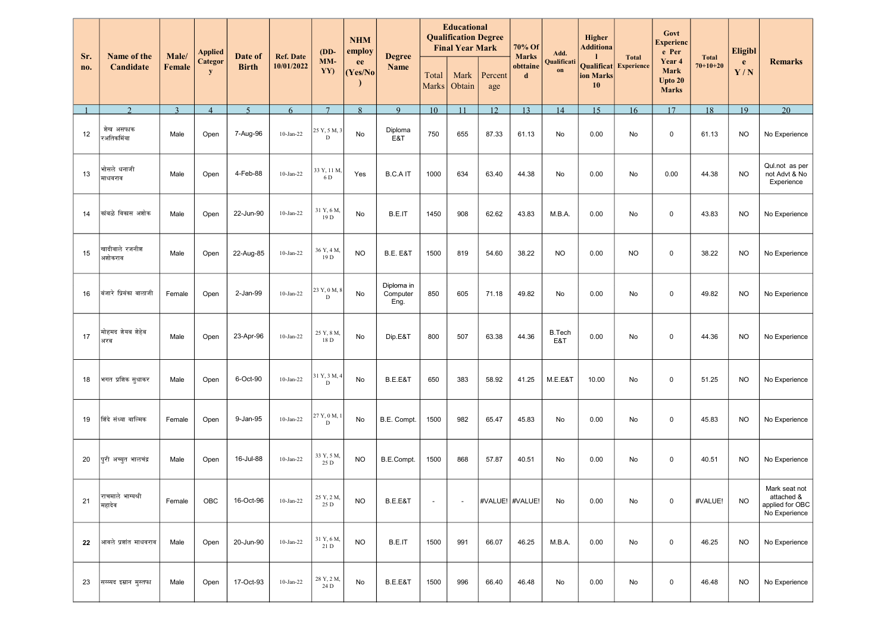|            | Name of the<br>Male/<br>Candidate     |               | <b>Applied</b>      | Date of<br><b>Birth</b> |                                | $(DD-$<br>MM-<br>YY)          | <b>NHM</b><br>employ<br>ee<br>(Yes/No) |                                | <b>Educational</b><br><b>Qualification Degree</b><br><b>Final Year Mark</b> |                |                | 70% Of<br>Add.                | Higher<br><b>Additiona</b> |                 | Govt<br><b>Experienc</b><br>e Per            |                                                  | <b>Eligibl</b>             |           |                                                                 |
|------------|---------------------------------------|---------------|---------------------|-------------------------|--------------------------------|-------------------------------|----------------------------------------|--------------------------------|-----------------------------------------------------------------------------|----------------|----------------|-------------------------------|----------------------------|-----------------|----------------------------------------------|--------------------------------------------------|----------------------------|-----------|-----------------------------------------------------------------|
| Sr.<br>no. |                                       | <b>Female</b> | <b>Categor</b><br>y |                         | <b>Ref. Date</b><br>10/01/2022 |                               |                                        | <b>Degree</b><br><b>Name</b>   | Total<br><b>Marks</b>                                                       | Mark<br>Obtain | Percent<br>age | <b>Marks</b><br>obttaine<br>d | Qualificati<br>on          | ion Marks<br>10 | <b>Total</b><br><b>Qualificat</b> Experience | Year 4<br><b>Mark</b><br>Upto 20<br><b>Marks</b> | <b>Total</b><br>$70+10+20$ | e<br>Y/N  | <b>Remarks</b>                                                  |
|            | $\mathcal{D}$                         | $\mathbf{3}$  | $\overline{4}$      | $\overline{5}$          | 6                              | $7\phantom{.0}$               | 8                                      | $\mathbf{Q}$                   | 10                                                                          | 11             | 12             | 13                            | 14                         | 15              | 16                                           | 17                                               | 18                         | 19        | 20                                                              |
| 12         | शेख असफाक<br>रअतिकमिंया               | Male          | Open                | 7-Aug-96                | $10-Jan-22$                    | 25 Y, 5 M, 3<br>D             | No                                     | Diploma<br>E&T                 | 750                                                                         | 655            | 87.33          | 61.13                         | No                         | 0.00            | No                                           | $\mathbf 0$                                      | 61.13                      | <b>NO</b> | No Experience                                                   |
| 13         | भोसले धनाजी<br>माधवराव                | Male          | Open                | 4-Feb-88                | $10-Jan-22$                    | 33 Y, 11 M,<br>6 D            | Yes                                    | <b>B.C.AIT</b>                 | 1000                                                                        | 634            | 63.40          | 44.38                         | No                         | 0.00            | No                                           | 0.00                                             | 44.38                      | <b>NO</b> | Qul.not as per<br>not Advt & No<br>Experience                   |
| 14         | कांबळे विकास अशोक                     | Male          | Open                | 22-Jun-90               | $10-Jan-22$                    | 31 Y, 6 M,<br>19 <sub>D</sub> | No                                     | B.E.IT                         | 1450                                                                        | 908            | 62.62          | 43.83                         | M.B.A.                     | 0.00            | No                                           | $\mathbf 0$                                      | 43.83                      | <b>NO</b> | No Experience                                                   |
| 15         | खादीवाले रजनी <del>श</del><br>अशोकराव | Male          | Open                | 22-Aug-85               | $10-Jan-22$                    | 36 Y, 4 M,<br>19 <sub>D</sub> | <b>NO</b>                              | B.E. E&T                       | 1500                                                                        | 819            | 54.60          | 38.22                         | <b>NO</b>                  | 0.00            | <b>NO</b>                                    | $\mathsf 0$                                      | 38.22                      | <b>NO</b> | No Experience                                                   |
| 16         | बंजारे प्रियंका बालाजी                | Female        | Open                | 2-Jan-99                | $10-Jan-22$                    | 23 Y, 0 M, 8<br>D             | No                                     | Diploma in<br>Computer<br>Eng. | 850                                                                         | 605            | 71.18          | 49.82                         | No                         | 0.00            | No                                           | $\mathsf 0$                                      | 49.82                      | <b>NO</b> | No Experience                                                   |
| 17         | मोहमद शेयब शेहेब<br>अरब               | Male          | Open                | 23-Apr-96               | $10-Jan-22$                    | 25 Y, 8 M.<br>18 D            | No                                     | Dip.E&T                        | 800                                                                         | 507            | 63.38          | 44.36                         | <b>B.Tech</b><br>E&T       | 0.00            | No                                           | $\mathbf 0$                                      | 44.36                      | <b>NO</b> | No Experience                                                   |
| 18         | भगत प्रशिक सूधाकर                     | Male          | Open                | 6-Oct-90                | $10-Jan-22$                    | 31 Y, 3 M, 4<br>D             | No                                     | B.E.E&T                        | 650                                                                         | 383            | 58.92          | 41.25                         | M.E.E&T                    | 10.00           | No                                           | $\mathbf 0$                                      | 51.25                      | <b>NO</b> | No Experience                                                   |
| 19         | शिंदे संध्या वाल्मिक                  | Female        | Open                | 9-Jan-95                | $10-Jan-22$                    | 27 Y, 0 M,<br>D               | No                                     | B.E. Compt.                    | 1500                                                                        | 982            | 65.47          | 45.83                         | No                         | 0.00            | No                                           | $\mathsf 0$                                      | 45.83                      | <b>NO</b> | No Experience                                                   |
| 20         | पुरी अच्युत भालचंद्र                  | Male          | Open                | 16-Jul-88               | $10-Jan-22$                    | 33 Y, 5 M,<br>25 D            | <b>NO</b>                              | B.E.Compt.                     | 1500                                                                        | 868            | 57.87          | 40.51                         | No                         | 0.00            | No                                           | $\mathbf 0$                                      | 40.51                      | <b>NO</b> | No Experience                                                   |
| 21         | राचमाले भाग्यश्री<br>महादेव           | Female        | OBC                 | 16-Oct-96               | $10-Jan-22$                    | 25 Y, 2 M,<br>25 D            | <b>NO</b>                              | B.E.E&T                        | $\sim$                                                                      |                |                | #VALUE! #VALUE!               | No                         | 0.00            | No                                           | $\pmb{0}$                                        | #VALUE!                    | <b>NO</b> | Mark seat not<br>attached &<br>applied for OBC<br>No Experience |
| 22         | आवले प्रशांत माधवराव                  | Male          | Open                | 20-Jun-90               | $10$ -Jan-22                   | 31 Y, 6 M,<br>21 D            | <b>NO</b>                              | B.E.IT                         | 1500                                                                        | 991            | 66.07          | 46.25                         | M.B.A.                     | 0.00            | No                                           | $\mathbf 0$                                      | 46.25                      | <b>NO</b> | No Experience                                                   |
| 23         | सय्य्यद इम्रान मुस्तफा                | Male          | Open                | 17-Oct-93               | $10$ -Jan-22                   | 28 Y, 2 M,<br>24 D            | No                                     | B.E.E&T                        | 1500                                                                        | 996            | 66.40          | 46.48                         | No                         | 0.00            | No                                           | $\mathbf 0$                                      | 46.48                      | <b>NO</b> | No Experience                                                   |